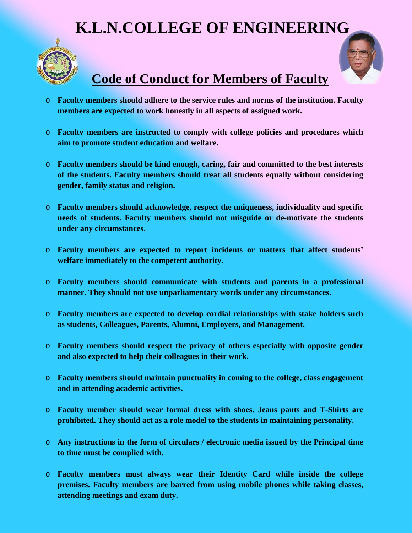## **K.L.N.COLLEGE OF ENGINEERING**





## **Code of Conduct for Members of Faculty**

- o **Faculty members should adhere to the service rules and norms of the institution. Faculty members are expected to work honestly in all aspects of assigned work.**
- o **Faculty members are instructed to comply with college policies and procedures which aim to promote student education and welfare.**
- o **Faculty members should be kind enough, caring, fair and committed to the best interests of the students. Faculty members should treat all students equally without considering gender, family status and religion.**
- o **Faculty members should acknowledge, respect the uniqueness, individuality and specific needs of students. Faculty members should not misguide or de-motivate the students under any circumstances.**
- o **Faculty members are expected to report incidents or matters that affect students' welfare immediately to the competent authority.**
- o **Faculty members should communicate with students and parents in a professional manner. They should not use unparliamentary words under any circumstances.**
- o **Faculty members are expected to develop cordial relationships with stake holders such as students, Colleagues, Parents, Alumni, Employers, and Management.**
- o **Faculty members should respect the privacy of others especially with opposite gender and also expected to help their colleagues in their work.**
- o **Faculty members should maintain punctuality in coming to the college, class engagement and in attending academic activities.**
- o **Faculty member should wear formal dress with shoes. Jeans pants and T-Shirts are prohibited. They should act as a role model to the students in maintaining personality.**
- o **Any instructions in the form of circulars / electronic media issued by the Principal time to time must be complied with.**
- o **Faculty members must always wear their Identity Card while inside the college premises. Faculty members are barred from using mobile phones while taking classes, attending meetings and exam duty.**